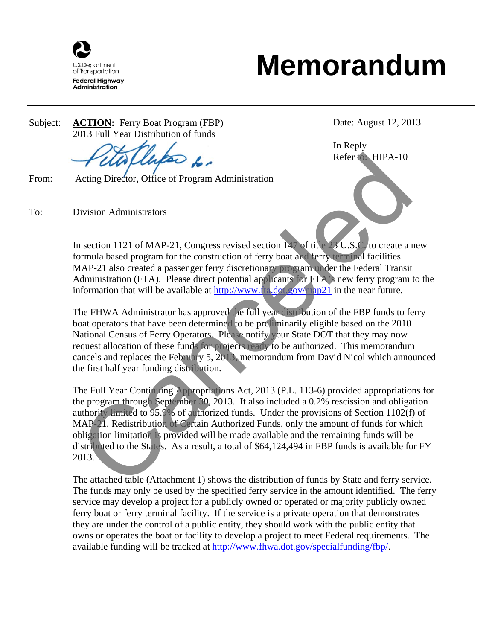

## **Memorandum**

Subject: **ACTION:** Ferry Boat Program (FBP) 2013 Full Year Distribution of funds

From: Acting Director, Office of Program Administration

To: Division Administrators

Date: August 12, 2013

Refer to: HIPA-10 In Reply

In section 1121 of MAP-21, Congress revised section 147 of title 23 U.S.C. to create a new formula based program for the construction of ferry boat and ferry terminal facilities. MAP-21 also created a passenger ferry discretionary program under the Federal Transit Administration (FTA). Please direct potential applicants for FTA's new ferry program to the information that will be available at  $\frac{http://www.ta.dot.gov/map21}{}$  in the near future.

The FHWA Administrator has approved the full year distribution of the FBP funds to ferry boat operators that have been determined to be preliminarily eligible based on the 2010 National Census of Ferry Operators. Please notify your State DOT that they may now request allocation of these funds for projects ready to be authorized. This memorandum cancels and replaces the February 5, 2013, memorandum from David Nicol which announced the first half year funding distribution.

The Full Year Continuing Appropriations Act, 2013 (P.L. 113-6) provided appropriations for the program through September 30, 2013. It also included a 0.2% rescission and obligation authority limited to 95.9% of authorized funds. Under the provisions of Section 1102(f) of MAP-21, Redistribution of Certain Authorized Funds, only the amount of funds for which obligation limitation is provided will be made available and the remaining funds will be distributed to the States. As a result, a total of \$64,124,494 in FBP funds is available for FY 2013. Refer to HIPA-10<br>
Acting Director, Office of Program Administration<br>
Division Administrators<br>
n section 1121 of MAP-21, Congress revised section 147 of the 23 U.S.C to create a<br>
normula based program for the construction o

The attached table (Attachment 1) shows the distribution of funds by State and ferry service. The funds may only be used by the specified ferry service in the amount identified. The ferry service may develop a project for a publicly owned or operated or majority publicly owned ferry boat or ferry terminal facility. If the service is a private operation that demonstrates they are under the control of a public entity, they should work with the public entity that owns or operates the boat or facility to develop a project to meet Federal requirements. The available funding will be tracked at http://www.fhwa.dot.gov/specialfunding/fbp/.